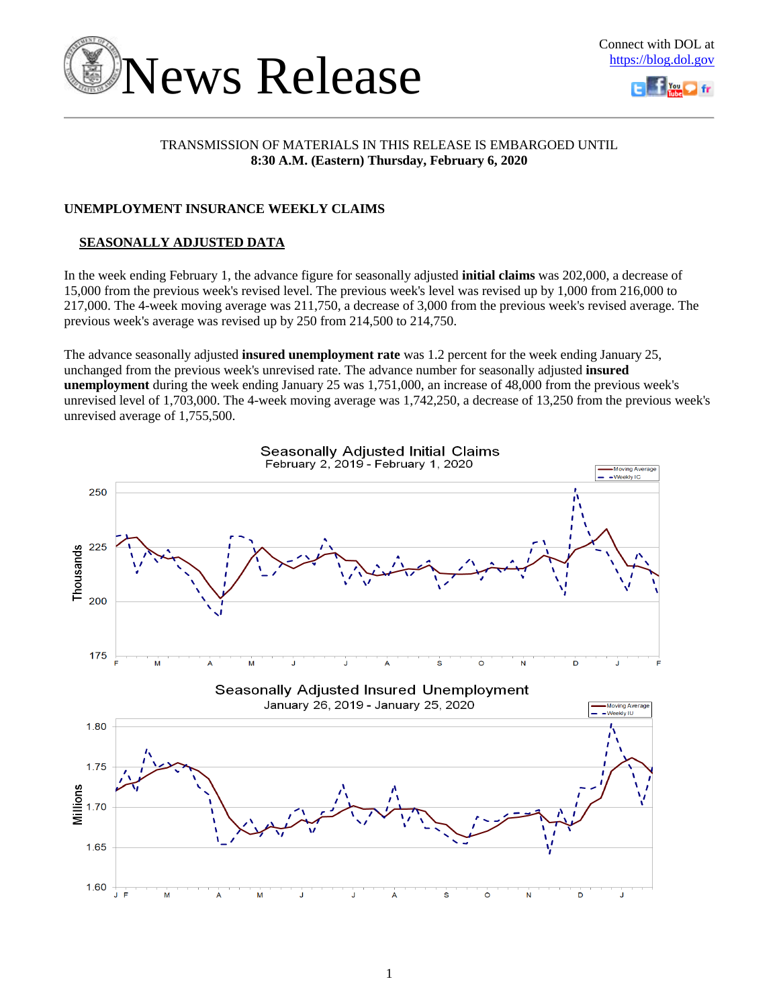



## TRANSMISSION OF MATERIALS IN THIS RELEASE IS EMBARGOED UNTIL **8:30 A.M. (Eastern) Thursday, February 6, 2020**

## **UNEMPLOYMENT INSURANCE WEEKLY CLAIMS**

## **SEASONALLY ADJUSTED DATA**

In the week ending February 1, the advance figure for seasonally adjusted **initial claims** was 202,000, a decrease of 15,000 from the previous week's revised level. The previous week's level was revised up by 1,000 from 216,000 to 217,000. The 4-week moving average was 211,750, a decrease of 3,000 from the previous week's revised average. The previous week's average was revised up by 250 from 214,500 to 214,750.

The advance seasonally adjusted **insured unemployment rate** was 1.2 percent for the week ending January 25, unchanged from the previous week's unrevised rate. The advance number for seasonally adjusted **insured unemployment** during the week ending January 25 was 1,751,000, an increase of 48,000 from the previous week's unrevised level of 1,703,000. The 4-week moving average was 1,742,250, a decrease of 13,250 from the previous week's unrevised average of 1,755,500.

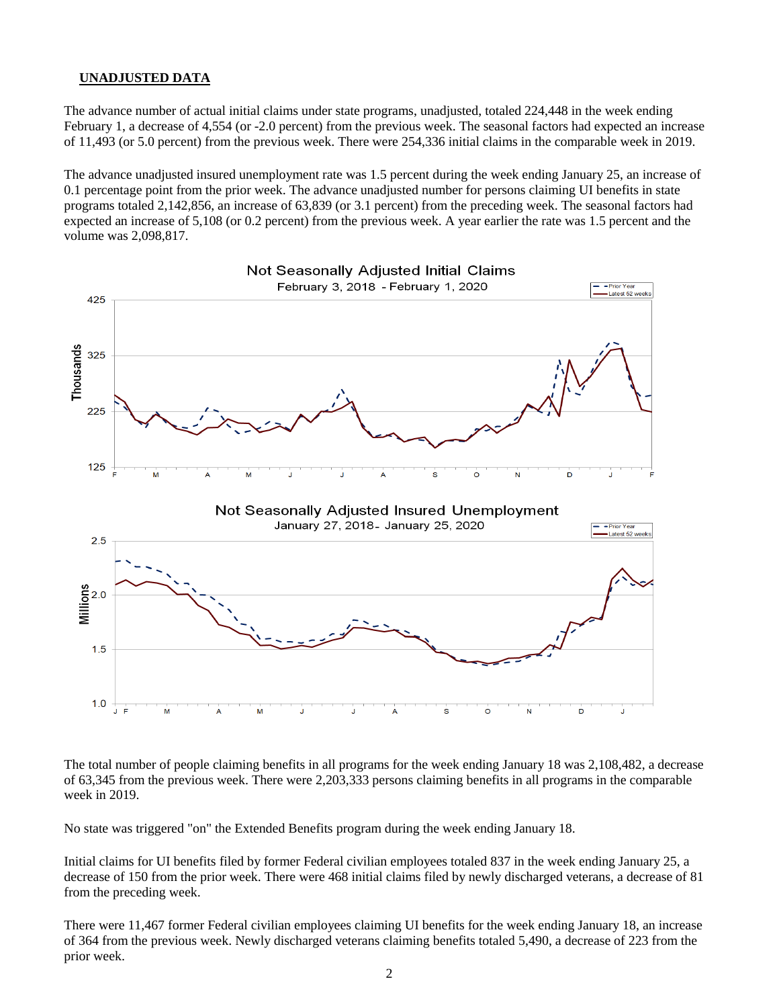## **UNADJUSTED DATA**

The advance number of actual initial claims under state programs, unadjusted, totaled 224,448 in the week ending February 1, a decrease of 4,554 (or -2.0 percent) from the previous week. The seasonal factors had expected an increase of 11,493 (or 5.0 percent) from the previous week. There were 254,336 initial claims in the comparable week in 2019.

The advance unadjusted insured unemployment rate was 1.5 percent during the week ending January 25, an increase of 0.1 percentage point from the prior week. The advance unadjusted number for persons claiming UI benefits in state programs totaled 2,142,856, an increase of 63,839 (or 3.1 percent) from the preceding week. The seasonal factors had expected an increase of 5,108 (or 0.2 percent) from the previous week. A year earlier the rate was 1.5 percent and the volume was 2,098,817.



The total number of people claiming benefits in all programs for the week ending January 18 was 2,108,482, a decrease of 63,345 from the previous week. There were 2,203,333 persons claiming benefits in all programs in the comparable week in 2019.

No state was triggered "on" the Extended Benefits program during the week ending January 18.

Initial claims for UI benefits filed by former Federal civilian employees totaled 837 in the week ending January 25, a decrease of 150 from the prior week. There were 468 initial claims filed by newly discharged veterans, a decrease of 81 from the preceding week.

There were 11,467 former Federal civilian employees claiming UI benefits for the week ending January 18, an increase of 364 from the previous week. Newly discharged veterans claiming benefits totaled 5,490, a decrease of 223 from the prior week.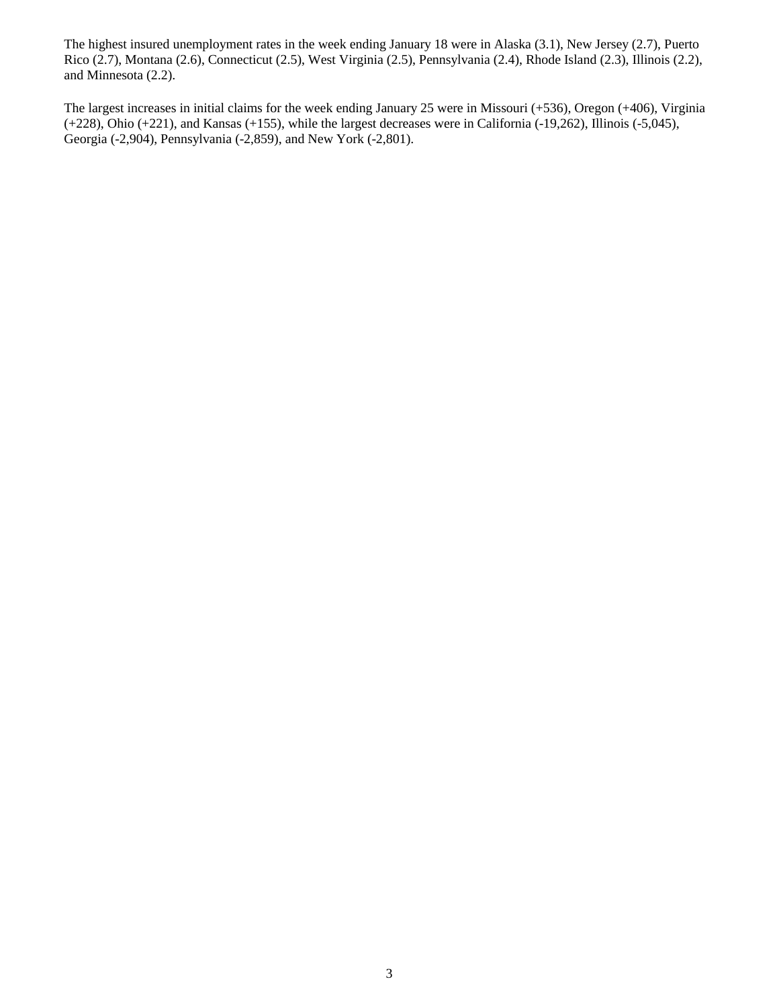The highest insured unemployment rates in the week ending January 18 were in Alaska (3.1), New Jersey (2.7), Puerto Rico (2.7), Montana (2.6), Connecticut (2.5), West Virginia (2.5), Pennsylvania (2.4), Rhode Island (2.3), Illinois (2.2), and Minnesota (2.2).

The largest increases in initial claims for the week ending January 25 were in Missouri (+536), Oregon (+406), Virginia (+228), Ohio (+221), and Kansas (+155), while the largest decreases were in California (-19,262), Illinois (-5,045), Georgia (-2,904), Pennsylvania (-2,859), and New York (-2,801).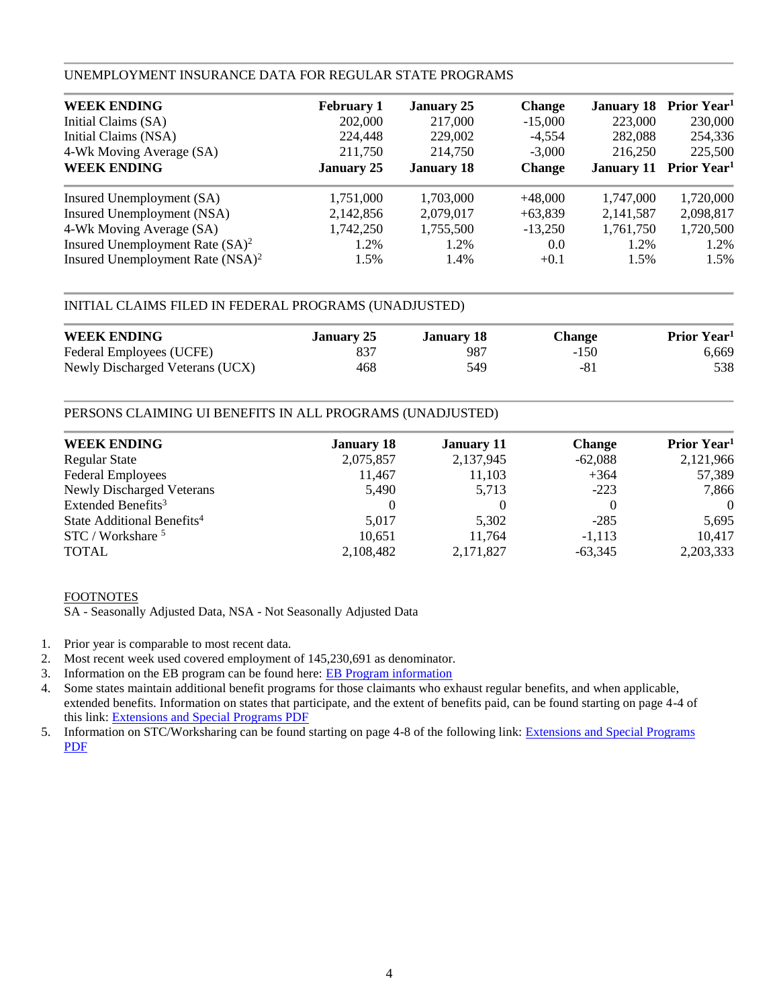## UNEMPLOYMENT INSURANCE DATA FOR REGULAR STATE PROGRAMS

| <b>WEEK ENDING</b>                           | <b>February 1</b> | <b>January 25</b> | <b>Change</b> | <b>January 18</b> | Prior Year <sup>1</sup>                   |
|----------------------------------------------|-------------------|-------------------|---------------|-------------------|-------------------------------------------|
| Initial Claims (SA)                          | 202,000           | 217,000           | $-15,000$     | 223,000           | 230,000                                   |
| Initial Claims (NSA)                         | 224,448           | 229,002           | $-4.554$      | 282,088           | 254,336                                   |
| 4-Wk Moving Average (SA)                     | 211,750           | 214,750           | $-3.000$      | 216,250           | 225,500                                   |
| <b>WEEK ENDING</b>                           | <b>January 25</b> | <b>January 18</b> | <b>Change</b> |                   | <b>January 11 Prior Year</b> <sup>1</sup> |
| Insured Unemployment (SA)                    | 1,751,000         | 1,703,000         | $+48,000$     | 1,747,000         | 1,720,000                                 |
| Insured Unemployment (NSA)                   | 2,142,856         | 2,079,017         | $+63,839$     | 2,141,587         | 2,098,817                                 |
| 4-Wk Moving Average (SA)                     | 1,742,250         | 1,755,500         | $-13,250$     | 1,761,750         | 1,720,500                                 |
| Insured Unemployment Rate $(SA)^2$           | 1.2%              | 1.2%              | 0.0           | 1.2%              | 1.2%                                      |
| Insured Unemployment Rate (NSA) <sup>2</sup> | 1.5%              | 1.4%              | $+0.1$        | 1.5%              | 1.5%                                      |

## INITIAL CLAIMS FILED IN FEDERAL PROGRAMS (UNADJUSTED)

| <b>WEEK ENDING</b>              | January 25 | January 18 | <b>Change</b> | Prior Year <sup>1</sup> |
|---------------------------------|------------|------------|---------------|-------------------------|
| Federal Employees (UCFE)        | 837        | 987        | $-150$        | 6,669                   |
| Newly Discharged Veterans (UCX) | 468        | 549        | -81           | 538                     |

## PERSONS CLAIMING UI BENEFITS IN ALL PROGRAMS (UNADJUSTED)

| <b>WEEK ENDING</b>                     | <b>January 18</b> | <b>January 11</b> | <b>Change</b> | Prior Year <sup>1</sup> |
|----------------------------------------|-------------------|-------------------|---------------|-------------------------|
| <b>Regular State</b>                   | 2,075,857         | 2,137,945         | $-62,088$     | 2,121,966               |
| <b>Federal Employees</b>               | 11,467            | 11,103            | $+364$        | 57,389                  |
| <b>Newly Discharged Veterans</b>       | 5,490             | 5,713             | $-223$        | 7,866                   |
| Extended Benefits <sup>3</sup>         | $\Omega$          |                   |               | $\Omega$                |
| State Additional Benefits <sup>4</sup> | 5.017             | 5.302             | $-285$        | 5,695                   |
| STC / Workshare <sup>5</sup>           | 10.651            | 11.764            | $-1,113$      | 10,417                  |
| <b>TOTAL</b>                           | 2,108,482         | 2,171,827         | $-63,345$     | 2,203,333               |

## FOOTNOTES

SA - Seasonally Adjusted Data, NSA - Not Seasonally Adjusted Data

- 1. Prior year is comparable to most recent data.
- 2. Most recent week used covered employment of 145,230,691 as denominator.
- 3. Information on the EB program can be found here: [EB Program information](https://oui.doleta.gov/unemploy/extenben.asp)
- 4. Some states maintain additional benefit programs for those claimants who exhaust regular benefits, and when applicable, extended benefits. Information on states that participate, and the extent of benefits paid, can be found starting on page 4-4 of this link: [Extensions and Special Programs PDF](https://oui.doleta.gov/unemploy/pdf/uilawcompar/2019/special.pdf#page=4)
- 5. Information on STC/Worksharing can be found starting on page 4-8 of the following link: [Extensions and Special Programs](https://oui.doleta.gov/unemploy/pdf/uilawcompar/2019/special.pdf#page=8)  [PDF](https://oui.doleta.gov/unemploy/pdf/uilawcompar/2019/special.pdf#page=8)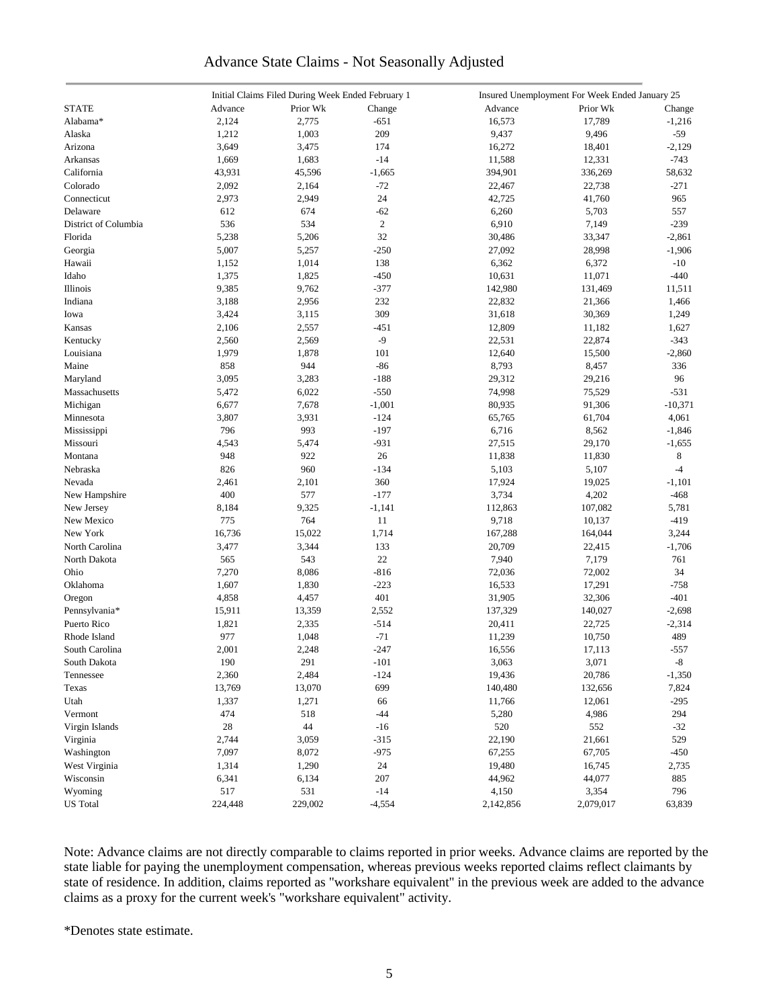## Advance State Claims - Not Seasonally Adjusted

|                      | Initial Claims Filed During Week Ended February 1 |          |                | Insured Unemployment For Week Ended January 25 |           |           |  |
|----------------------|---------------------------------------------------|----------|----------------|------------------------------------------------|-----------|-----------|--|
| <b>STATE</b>         | Advance                                           | Prior Wk | Change         | Advance                                        | Prior Wk  | Change    |  |
| Alabama*             | 2,124                                             | 2,775    | $-651$         | 16,573                                         | 17,789    | $-1,216$  |  |
| Alaska               | 1,212                                             | 1,003    | 209            | 9,437                                          | 9,496     | $-59$     |  |
| Arizona              | 3,649                                             | 3,475    | 174            | 16,272                                         | 18,401    | $-2,129$  |  |
| Arkansas             | 1,669                                             | 1,683    | $-14$          | 11,588                                         | 12,331    | $-743$    |  |
| California           | 43,931                                            | 45,596   | $-1,665$       | 394,901                                        | 336,269   | 58,632    |  |
| Colorado             | 2,092                                             | 2,164    | $-72$          | 22,467                                         | 22,738    | $-271$    |  |
| Connecticut          | 2,973                                             | 2,949    | 24             | 42,725                                         | 41,760    | 965       |  |
| Delaware             | 612                                               | 674      | $-62$          | 6,260                                          | 5,703     | 557       |  |
|                      | 536                                               |          |                |                                                |           |           |  |
| District of Columbia |                                                   | 534      | $\overline{c}$ | 6,910                                          | 7,149     | $-239$    |  |
| Florida              | 5,238                                             | 5,206    | 32             | 30,486                                         | 33,347    | $-2,861$  |  |
| Georgia              | 5,007                                             | 5,257    | $-250$         | 27,092                                         | 28,998    | $-1,906$  |  |
| Hawaii               | 1,152                                             | 1,014    | 138            | 6,362                                          | 6,372     | $-10$     |  |
| Idaho                | 1,375                                             | 1,825    | $-450$         | 10,631                                         | 11,071    | $-440$    |  |
| Illinois             | 9,385                                             | 9,762    | $-377$         | 142,980                                        | 131,469   | 11,511    |  |
| Indiana              | 3,188                                             | 2,956    | 232            | 22,832                                         | 21,366    | 1,466     |  |
| Iowa                 | 3,424                                             | 3,115    | 309            | 31,618                                         | 30,369    | 1,249     |  |
| Kansas               | 2,106                                             | 2,557    | $-451$         | 12,809                                         | 11,182    | 1,627     |  |
| Kentucky             | 2,560                                             | 2,569    | $-9$           | 22,531                                         | 22,874    | $-343$    |  |
| Louisiana            | 1,979                                             | 1,878    | 101            | 12,640                                         | 15,500    | $-2,860$  |  |
| Maine                | 858                                               | 944      | $-86$          | 8,793                                          | 8,457     | 336       |  |
| Maryland             | 3,095                                             | 3,283    | $-188$         | 29,312                                         | 29,216    | 96        |  |
| Massachusetts        | 5,472                                             | 6,022    | $-550$         | 74,998                                         | 75,529    | $-531$    |  |
| Michigan             | 6,677                                             | 7,678    | $-1,001$       | 80,935                                         | 91,306    | $-10,371$ |  |
| Minnesota            | 3,807                                             | 3,931    | $-124$         | 65,765                                         | 61,704    | 4,061     |  |
| Mississippi          | 796                                               | 993      | $-197$         | 6,716                                          | 8,562     | $-1,846$  |  |
| Missouri             | 4,543                                             | 5,474    | $-931$         | 27,515                                         | 29,170    | $-1,655$  |  |
| Montana              | 948                                               | 922      | 26             | 11,838                                         | 11,830    | 8         |  |
| Nebraska             | 826                                               | 960      | $-134$         | 5,103                                          | 5,107     | $-4$      |  |
| Nevada               | 2,461                                             | 2,101    | 360            | 17,924                                         | 19,025    | $-1,101$  |  |
| New Hampshire        | 400                                               | 577      | $-177$         | 3,734                                          | 4,202     | $-468$    |  |
| New Jersey           | 8,184                                             | 9,325    | $-1,141$       | 112,863                                        | 107,082   | 5,781     |  |
| New Mexico           | 775                                               | 764      | 11             | 9,718                                          | 10,137    | $-419$    |  |
| New York             | 16,736                                            | 15,022   | 1,714          | 167,288                                        | 164,044   | 3,244     |  |
|                      |                                                   |          |                |                                                |           |           |  |
| North Carolina       | 3,477                                             | 3,344    | 133            | 20,709                                         | 22,415    | $-1,706$  |  |
| North Dakota         | 565                                               | 543      | $22\,$         | 7,940                                          | 7,179     | 761       |  |
| Ohio                 | 7,270                                             | 8,086    | $-816$         | 72,036                                         | 72,002    | 34        |  |
| Oklahoma             | 1,607                                             | 1,830    | $-223$         | 16,533                                         | 17,291    | $-758$    |  |
| Oregon               | 4,858                                             | 4,457    | 401            | 31,905                                         | 32,306    | $-401$    |  |
| Pennsylvania*        | 15,911                                            | 13,359   | 2,552          | 137,329                                        | 140,027   | $-2,698$  |  |
| Puerto Rico          | 1,821                                             | 2,335    | $-514$         | 20,411                                         | 22,725    | $-2,314$  |  |
| Rhode Island         | 977                                               | 1,048    | $-71$          | 11,239                                         | 10,750    | 489       |  |
| South Carolina       | 2,001                                             | 2,248    | $-247$         | 16,556                                         | 17,113    | $-557$    |  |
| South Dakota         | 190                                               | 291      | $-101$         | 3,063                                          | 3,071     | $-8$      |  |
| Tennessee            | 2,360                                             | 2,484    | $-124$         | 19,436                                         | 20,786    | $-1,350$  |  |
| Texas                | 13,769                                            | 13,070   | 699            | 140,480                                        | 132,656   | 7,824     |  |
| Utah                 | 1,337                                             | 1,271    | 66             | 11,766                                         | 12,061    | $-295$    |  |
| Vermont              | 474                                               | 518      | $-44$          | 5,280                                          | 4,986     | 294       |  |
| Virgin Islands       | $28\,$                                            | 44       | $-16$          | 520                                            | 552       | $-32$     |  |
| Virginia             | 2,744                                             | 3,059    | $-315$         | 22,190                                         | 21,661    | 529       |  |
| Washington           | 7,097                                             | 8,072    | $-975$         | 67,255                                         | 67,705    | $-450$    |  |
| West Virginia        | 1,314                                             | 1,290    | $24\,$         | 19,480                                         | 16,745    | 2,735     |  |
| Wisconsin            | 6,341                                             | 6,134    | 207            | 44,962                                         | 44,077    | 885       |  |
| Wyoming              | 517                                               | 531      | $-14$          | 4,150                                          | 3,354     | 796       |  |
| <b>US</b> Total      | 224,448                                           | 229,002  | $-4,554$       | 2,142,856                                      | 2,079,017 | 63,839    |  |
|                      |                                                   |          |                |                                                |           |           |  |

Note: Advance claims are not directly comparable to claims reported in prior weeks. Advance claims are reported by the state liable for paying the unemployment compensation, whereas previous weeks reported claims reflect claimants by state of residence. In addition, claims reported as "workshare equivalent" in the previous week are added to the advance claims as a proxy for the current week's "workshare equivalent" activity.

\*Denotes state estimate.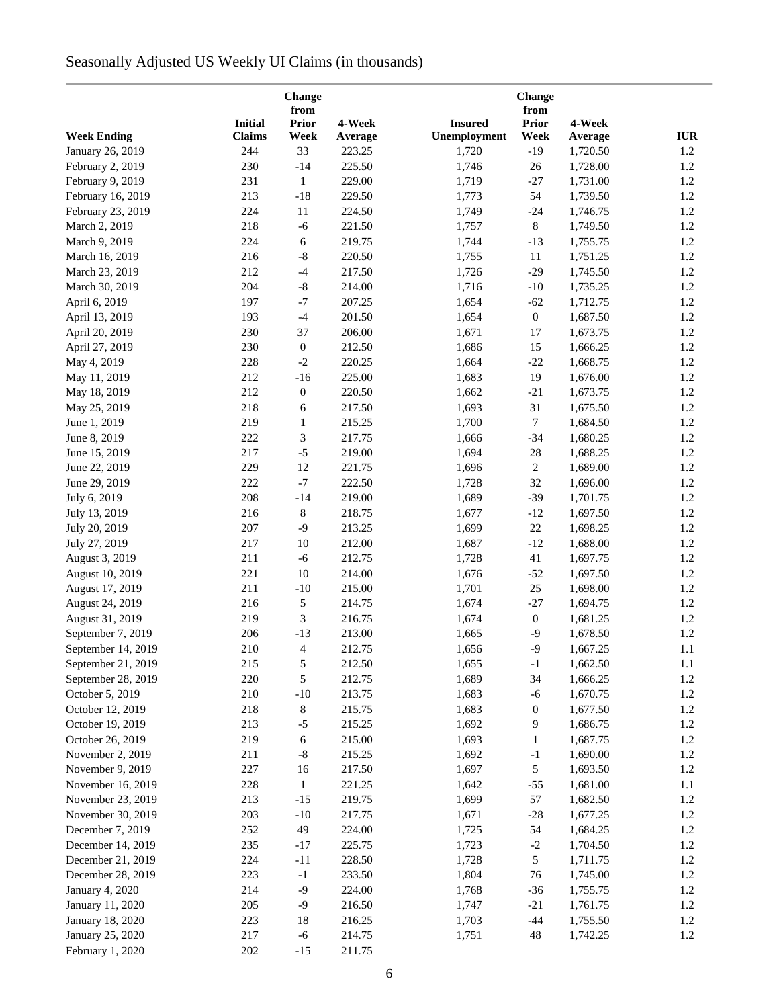# Seasonally Adjusted US Weekly UI Claims (in thousands)

| Change<br>from     |                |                  |         |                |                      |          |            |
|--------------------|----------------|------------------|---------|----------------|----------------------|----------|------------|
|                    | <b>Initial</b> | <b>Prior</b>     | 4-Week  | <b>Insured</b> | from<br><b>Prior</b> | 4-Week   |            |
| <b>Week Ending</b> | <b>Claims</b>  | Week             | Average | Unemployment   | Week                 | Average  | <b>IUR</b> |
| January 26, 2019   | 244            | 33               | 223.25  | 1,720          | $-19$                | 1,720.50 | $1.2\,$    |
| February 2, 2019   | 230            | $-14$            | 225.50  | 1,746          | 26                   | 1,728.00 | 1.2        |
| February 9, 2019   | 231            | $\mathbf{1}$     | 229.00  | 1,719          | $-27$                | 1,731.00 | 1.2        |
| February 16, 2019  | 213            | $-18$            | 229.50  | 1,773          | 54                   | 1,739.50 | 1.2        |
| February 23, 2019  | 224            | 11               | 224.50  | 1,749          | $-24$                | 1,746.75 | 1.2        |
| March 2, 2019      | 218            | $-6$             | 221.50  | 1,757          | 8                    | 1,749.50 | 1.2        |
| March 9, 2019      | 224            | 6                | 219.75  | 1,744          | $-13$                | 1,755.75 | 1.2        |
| March 16, 2019     | 216            | $\mbox{-}8$      | 220.50  | 1,755          | $11\,$               | 1,751.25 | 1.2        |
| March 23, 2019     | 212            | $-4$             | 217.50  | 1,726          | $-29$                | 1,745.50 | 1.2        |
| March 30, 2019     | 204            | $\text{-}8$      | 214.00  | 1,716          | $-10$                | 1,735.25 | 1.2        |
| April 6, 2019      | 197            | $-7$             | 207.25  | 1,654          | $-62$                | 1,712.75 | 1.2        |
| April 13, 2019     | 193            | $-4$             | 201.50  | 1,654          | $\boldsymbol{0}$     | 1,687.50 | 1.2        |
| April 20, 2019     | 230            | 37               | 206.00  | 1,671          | $17\,$               | 1,673.75 | 1.2        |
| April 27, 2019     | 230            | $\boldsymbol{0}$ | 212.50  | 1,686          | 15                   | 1,666.25 | 1.2        |
| May 4, 2019        | 228            | $-2$             | 220.25  | 1,664          | $-22$                | 1,668.75 | 1.2        |
| May 11, 2019       | 212            | $-16$            | 225.00  | 1,683          | 19                   | 1,676.00 | 1.2        |
|                    | 212            | $\boldsymbol{0}$ | 220.50  |                | $-21$                | 1,673.75 | 1.2        |
| May 18, 2019       | 218            |                  | 217.50  | 1,662<br>1,693 | 31                   | 1,675.50 | 1.2        |
| May 25, 2019       |                | 6                |         |                |                      |          |            |
| June 1, 2019       | 219            | $\mathbf{1}$     | 215.25  | 1,700          | 7                    | 1,684.50 | 1.2        |
| June 8, 2019       | 222            | 3                | 217.75  | 1,666          | $-34$                | 1,680.25 | 1.2        |
| June 15, 2019      | 217            | $-5$             | 219.00  | 1,694          | 28                   | 1,688.25 | 1.2        |
| June 22, 2019      | 229            | 12               | 221.75  | 1,696          | $\overline{c}$       | 1,689.00 | 1.2        |
| June 29, 2019      | 222            | $-7$             | 222.50  | 1,728          | 32                   | 1,696.00 | 1.2        |
| July 6, 2019       | 208            | $-14$            | 219.00  | 1,689          | $-39$                | 1,701.75 | 1.2        |
| July 13, 2019      | 216            | 8                | 218.75  | 1,677          | $-12$                | 1,697.50 | 1.2        |
| July 20, 2019      | 207            | $-9$             | 213.25  | 1,699          | 22                   | 1,698.25 | 1.2        |
| July 27, 2019      | 217            | 10               | 212.00  | 1,687          | $-12$                | 1,688.00 | 1.2        |
| August 3, 2019     | 211            | $-6$             | 212.75  | 1,728          | 41                   | 1,697.75 | 1.2        |
| August 10, 2019    | 221            | 10               | 214.00  | 1,676          | $-52$                | 1,697.50 | 1.2        |
| August 17, 2019    | 211            | $-10$            | 215.00  | 1,701          | 25                   | 1,698.00 | $1.2\,$    |
| August 24, 2019    | 216            | 5                | 214.75  | 1,674          | $-27$                | 1,694.75 | 1.2        |
| August 31, 2019    | 219            | 3                | 216.75  | 1,674          | $\boldsymbol{0}$     | 1,681.25 | 1.2        |
| September 7, 2019  | 206            | $-13$            | 213.00  | 1,665          | $-9$                 | 1,678.50 | 1.2        |
| September 14, 2019 | $210\,$        | $\overline{4}$   | 212.75  | 1,656          | $-9$                 | 1,667.25 | $1.1\,$    |
| September 21, 2019 | 215            | 5                | 212.50  | 1,655          | $-1$                 | 1,662.50 | 1.1        |
| September 28, 2019 | 220            | 5                | 212.75  | 1,689          | 34                   | 1,666.25 | 1.2        |
| October 5, 2019    | 210            | $-10$            | 213.75  | 1,683          | $-6$                 | 1,670.75 | 1.2        |
| October 12, 2019   | 218            | 8                | 215.75  | 1,683          | $\boldsymbol{0}$     | 1,677.50 | 1.2        |
| October 19, 2019   | 213            | $-5$             | 215.25  | 1,692          | 9                    | 1,686.75 | 1.2        |
| October 26, 2019   | 219            | 6                | 215.00  | 1,693          | 1                    | 1,687.75 | 1.2        |
| November 2, 2019   | 211            | $\mbox{-}8$      | 215.25  | 1,692          | $-1$                 | 1,690.00 | 1.2        |
| November 9, 2019   | 227            | 16               | 217.50  | 1,697          | 5                    | 1,693.50 | 1.2        |
| November 16, 2019  | 228            | $\mathbf{1}$     | 221.25  | 1,642          | $-55$                | 1,681.00 | $1.1\,$    |
| November 23, 2019  | 213            | $-15$            | 219.75  | 1,699          | 57                   | 1,682.50 | 1.2        |
| November 30, 2019  | 203            | $-10$            | 217.75  | 1,671          | $-28$                | 1,677.25 | 1.2        |
| December 7, 2019   | 252            | 49               | 224.00  | 1,725          | 54                   | 1,684.25 | 1.2        |
| December 14, 2019  | 235            | $-17$            | 225.75  | 1,723          | $-2$                 | 1,704.50 | 1.2        |
| December 21, 2019  | 224            | $-11$            | 228.50  | 1,728          | 5                    | 1,711.75 | 1.2        |
| December 28, 2019  | 223            | $-1$             | 233.50  | 1,804          | 76                   | 1,745.00 | 1.2        |
| January 4, 2020    | 214            | $-9$             | 224.00  | 1,768          | $-36$                | 1,755.75 | 1.2        |
| January 11, 2020   | 205            | $-9$             | 216.50  | 1,747          | $-21$                | 1,761.75 | 1.2        |
| January 18, 2020   | 223            | 18               | 216.25  | 1,703          | $-44$                | 1,755.50 | 1.2        |
| January 25, 2020   | 217            | $-6$             | 214.75  | 1,751          | 48                   | 1,742.25 | 1.2        |
| February 1, 2020   | $202\,$        | $-15$            | 211.75  |                |                      |          |            |
|                    |                |                  |         |                |                      |          |            |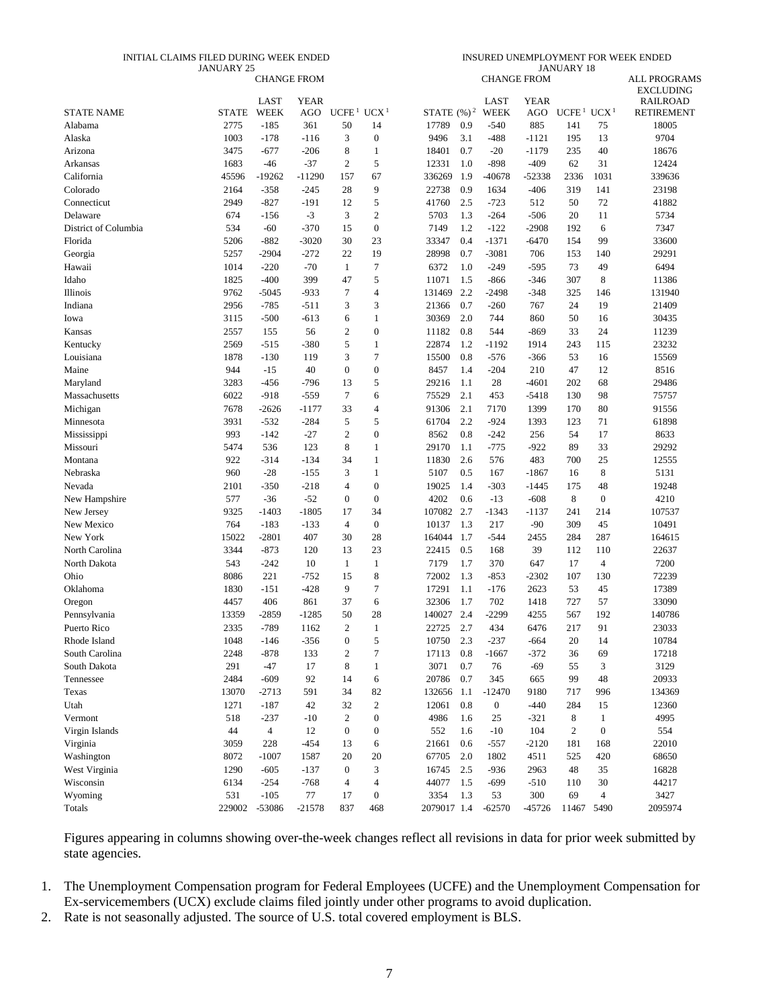#### INITIAL CLAIMS FILED DURING WEEK ENDED JANUARY 25

INSURED UNEMPLOYMENT FOR WEEK ENDED JANUARY 18

|                      |        | <b>CHANGE FROM</b> |          |                                    |                  |             |     | <b>CHANGE FROM</b>  |             |                                    |                  | <b>ALL PROGRAMS</b><br><b>EXCLUDING</b> |
|----------------------|--------|--------------------|----------|------------------------------------|------------------|-------------|-----|---------------------|-------------|------------------------------------|------------------|-----------------------------------------|
|                      |        | <b>LAST</b>        | YEAR     |                                    |                  |             |     | LAST                | <b>YEAR</b> |                                    |                  | <b>RAILROAD</b>                         |
| <b>STATE NAME</b>    | STATE  | <b>WEEK</b>        | AGO      | UCFE <sup>1</sup> UCX <sup>1</sup> |                  |             |     | STATE $(\%)^2$ WEEK | AGO         | UCFE <sup>1</sup> UCX <sup>1</sup> |                  | <b>RETIREMENT</b>                       |
| Alabama              | 2775   | $-185$             | 361      | 50                                 | 14               | 17789       | 0.9 | $-540$              | 885         | 141                                | 75               | 18005                                   |
| Alaska               | 1003   | $-178$             | $-116$   | 3                                  | $\boldsymbol{0}$ | 9496        | 3.1 | $-488$              | $-1121$     | 195                                | 13               | 9704                                    |
| Arizona              | 3475   | $-677$             | $-206$   | 8                                  | 1                | 18401       | 0.7 | $-20$               | $-1179$     | 235                                | 40               | 18676                                   |
| Arkansas             | 1683   | -46                | $-37$    | $\overline{2}$                     | $\sqrt{5}$       | 12331       | 1.0 | $-898$              | $-409$      | 62                                 | 31               | 12424                                   |
| California           | 45596  | $-19262$           | $-11290$ | 157                                | 67               | 336269      | 1.9 | $-40678$            | $-52338$    | 2336                               | 1031             | 339636                                  |
| Colorado             | 2164   | $-358$             | $-245$   | 28                                 | 9                | 22738       | 0.9 | 1634                | $-406$      | 319                                | 141              | 23198                                   |
| Connecticut          | 2949   | $-827$             | $-191$   | 12                                 | $\sqrt{5}$       | 41760       | 2.5 | $-723$              | 512         | 50                                 | 72               | 41882                                   |
| Delaware             | 674    | $-156$             | $-3$     | 3                                  | $\mathbf{2}$     | 5703        | 1.3 | $-264$              | $-506$      | 20                                 | 11               | 5734                                    |
| District of Columbia | 534    | $-60$              | $-370$   | 15                                 | $\boldsymbol{0}$ | 7149        | 1.2 | $-122$              | $-2908$     | 192                                | 6                | 7347                                    |
| Florida              | 5206   | $-882$             | $-3020$  | 30                                 | 23               | 33347       | 0.4 | $-1371$             | $-6470$     | 154                                | 99               | 33600                                   |
| Georgia              | 5257   | -2904              | $-272$   | 22                                 | 19               | 28998       | 0.7 | $-3081$             | 706         | 153                                | 140              | 29291                                   |
| Hawaii               | 1014   | $-220$             | $-70$    | $\mathbf{1}$                       | 7                | 6372        | 1.0 | $-249$              | $-595$      | 73                                 | 49               | 6494                                    |
| Idaho                | 1825   | $-400$             | 399      | 47                                 | 5                | 11071       | 1.5 | $-866$              | $-346$      | 307                                | 8                | 11386                                   |
| Illinois             | 9762   | $-5045$            | $-933$   | 7                                  | $\overline{4}$   | 131469      | 2.2 | -2498               | $-348$      | 325                                | 146              | 131940                                  |
| Indiana              | 2956   | $-785$             | $-511$   | 3                                  | 3                | 21366       | 0.7 | $-260$              | 767         | 24                                 | 19               | 21409                                   |
| Iowa                 | 3115   | $-500$             | -613     | 6                                  | $\mathbf{1}$     | 30369       | 2.0 | 744                 | 860         | 50                                 | 16               | 30435                                   |
| Kansas               | 2557   | 155                | 56       | $\mathfrak{2}$                     | $\boldsymbol{0}$ | 11182       | 0.8 | 544                 | $-869$      | 33                                 | 24               | 11239                                   |
| Kentucky             | 2569   | $-515$             | $-380$   | 5                                  | $\mathbf{1}$     | 22874       | 1.2 | $-1192$             | 1914        | 243                                | 115              | 23232                                   |
| Louisiana            | 1878   | $-130$             | 119      | 3                                  | $\tau$           | 15500       | 0.8 | $-576$              | $-366$      | 53                                 | 16               | 15569                                   |
| Maine                | 944    | $-15$              | 40       | $\mathbf{0}$                       | $\boldsymbol{0}$ | 8457        | 1.4 | $-204$              | 210         | 47                                 | 12               | 8516                                    |
| Maryland             | 3283   | $-456$             | $-796$   | 13                                 | 5                | 29216       | 1.1 | 28                  | $-4601$     | 202                                | 68               | 29486                                   |
| Massachusetts        | 6022   | $-918$             | $-559$   | $\tau$                             | 6                | 75529       | 2.1 | 453                 | $-5418$     | 130                                | 98               | 75757                                   |
| Michigan             | 7678   | $-2626$            | -1177    | 33                                 | $\overline{4}$   | 91306       | 2.1 | 7170                | 1399        | 170                                | 80               | 91556                                   |
| Minnesota            | 3931   | $-532$             | $-284$   | 5                                  | 5                | 61704       | 2.2 | $-924$              | 1393        | 123                                | 71               | 61898                                   |
| Mississippi          | 993    | $-142$             | $-27$    | $\overline{c}$                     | $\boldsymbol{0}$ | 8562        | 0.8 | $-242$              | 256         | 54                                 | 17               | 8633                                    |
| Missouri             | 5474   | 536                | 123      | 8                                  | $\mathbf{1}$     | 29170       | 1.1 | $-775$              | $-922$      | 89                                 | 33               | 29292                                   |
| Montana              | 922    | -314               | $-134$   | 34                                 | $\mathbf{1}$     | 11830       | 2.6 | 576                 | 483         | 700                                | 25               | 12555                                   |
| Nebraska             | 960    | $-28$              | $-155$   | 3                                  | $\mathbf{1}$     | 5107        | 0.5 | 167                 | $-1867$     | 16                                 | 8                | 5131                                    |
| Nevada               | 2101   | $-350$             | $-218$   | $\overline{4}$                     | $\boldsymbol{0}$ | 19025       | 1.4 | $-303$              | $-1445$     | 175                                | 48               | 19248                                   |
| New Hampshire        | 577    | $-36$              | $-52$    | $\mathbf{0}$                       | $\boldsymbol{0}$ | 4202        | 0.6 | $-13$               | $-608$      | 8                                  | $\boldsymbol{0}$ | 4210                                    |
| New Jersey           | 9325   | $-1403$            | $-1805$  | 17                                 | 34               | 107082      | 2.7 | $-1343$             | $-1137$     | 241                                | 214              | 107537                                  |
| New Mexico           | 764    | $-183$             | $-133$   | $\overline{4}$                     | $\boldsymbol{0}$ | 10137       | 1.3 | 217                 | $-90$       | 309                                | 45               | 10491                                   |
| New York             | 15022  | $-2801$            | 407      | 30                                 | 28               | 164044      | 1.7 | $-544$              | 2455        | 284                                | 287              | 164615                                  |
| North Carolina       | 3344   | $-873$             | 120      | 13                                 | 23               | 22415       | 0.5 | 168                 | 39          | 112                                | 110              | 22637                                   |
| North Dakota         | 543    | $-242$             | 10       | $\mathbf{1}$                       | $\mathbf{1}$     | 7179        | 1.7 | 370                 | 647         | 17                                 | $\overline{4}$   | 7200                                    |
| Ohio                 | 8086   | 221                | $-752$   | 15                                 | $\,8\,$          | 72002       | 1.3 | -853                | $-2302$     | 107                                | 130              | 72239                                   |
| Oklahoma             | 1830   | $-151$             | $-428$   | 9                                  | $\tau$           | 17291       | 1.1 | $-176$              | 2623        | 53                                 | 45               | 17389                                   |
| Oregon               | 4457   | 406                | 861      | 37                                 | 6                | 32306       | 1.7 | 702                 | 1418        | 727                                | 57               | 33090                                   |
| Pennsylvania         | 13359  | -2859              | -1285    | 50                                 | 28               | 140027      | 2.4 | -2299               | 4255        | 567                                | 192              | 140786                                  |
| Puerto Rico          | 2335   | $-789$             | 1162     | $\overline{2}$                     | $\mathbf{1}$     | 22725       | 2.7 | 434                 | 6476        | 217                                | 91               | 23033                                   |
| Rhode Island         | 1048   | -146               | $-356$   | 0                                  | 5                | 10750       | 2.3 | $-237$              | $-664$      | 20                                 | 14               | 10784                                   |
| South Carolina       | 2248   | $-878$             | 133      | 2                                  | 7                | 17113       | 0.8 | $-1667$             | $-372$      | 36                                 | 69               | 17218                                   |
| South Dakota         | 291    | $-47$              | 17       | 8                                  | $\mathbf{1}$     | 3071        | 0.7 | 76                  | $-69$       | 55                                 | 3                | 3129                                    |
| Tennessee            | 2484   | $-609$             | 92       | 14                                 | 6                | 20786       | 0.7 | 345                 | 665         | 99                                 | 48               | 20933                                   |
| Texas                | 13070  | $-2713$            | 591      | 34                                 | 82               | 132656 1.1  |     | $-12470$            | 9180        | 717                                | 996              | 134369                                  |
| Utah                 | 1271   | $-187$             | 42       | 32                                 | $\sqrt{2}$       | 12061       | 0.8 | $\boldsymbol{0}$    | $-440$      | 284                                | 15               | 12360                                   |
| Vermont              | 518    | $-237$             | $-10$    | 2                                  | $\boldsymbol{0}$ | 4986        | 1.6 | 25                  | $-321$      | 8                                  | $\mathbf{1}$     | 4995                                    |
| Virgin Islands       | 44     | $\overline{4}$     | 12       | $\boldsymbol{0}$                   | $\boldsymbol{0}$ | 552         | 1.6 | $-10$               | 104         | $\boldsymbol{2}$                   | $\boldsymbol{0}$ | 554                                     |
| Virginia             | 3059   | 228                | $-454$   | 13                                 | 6                | 21661       | 0.6 | $-557$              | $-2120$     | 181                                | 168              | 22010                                   |
| Washington           | 8072   | $-1007$            | 1587     | 20                                 | 20               | 67705       | 2.0 | 1802                | 4511        | 525                                | 420              | 68650                                   |
| West Virginia        | 1290   | $-605$             | $-137$   | $\boldsymbol{0}$                   | 3                | 16745       | 2.5 | $-936$              | 2963        | 48                                 | 35               | 16828                                   |
| Wisconsin            | 6134   | $-254$             | $-768$   | 4                                  | 4                | 44077       | 1.5 | -699                | $-510$      | 110                                | 30               | 44217                                   |
| Wyoming              | 531    | $-105$             | 77       | 17                                 | $\boldsymbol{0}$ | 3354        | 1.3 | 53                  | 300         | 69                                 | 4                | 3427                                    |
| Totals               | 229002 | -53086             | $-21578$ | 837                                | 468              | 2079017 1.4 |     | $-62570$            | $-45726$    | 11467                              | 5490             | 2095974                                 |

Figures appearing in columns showing over-the-week changes reflect all revisions in data for prior week submitted by state agencies.

1. The Unemployment Compensation program for Federal Employees (UCFE) and the Unemployment Compensation for Ex-servicemembers (UCX) exclude claims filed jointly under other programs to avoid duplication.

2. Rate is not seasonally adjusted. The source of U.S. total covered employment is BLS.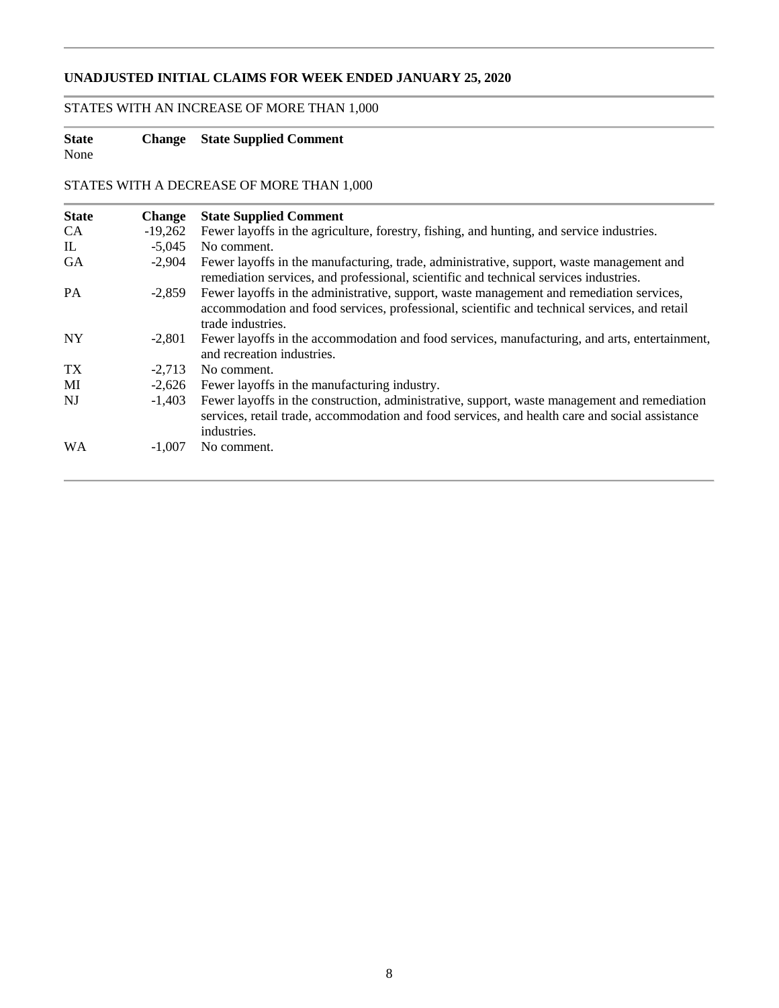## **UNADJUSTED INITIAL CLAIMS FOR WEEK ENDED JANUARY 25, 2020**

## STATES WITH AN INCREASE OF MORE THAN 1,000

## **State Change State Supplied Comment**

None

STATES WITH A DECREASE OF MORE THAN 1,000

| <b>State</b> | <b>Change</b> | <b>State Supplied Comment</b>                                                                                                                                                                                 |
|--------------|---------------|---------------------------------------------------------------------------------------------------------------------------------------------------------------------------------------------------------------|
| <b>CA</b>    | $-19,262$     | Fewer layoffs in the agriculture, forestry, fishing, and hunting, and service industries.                                                                                                                     |
| $\mathbb{L}$ | $-5.045$      | No comment.                                                                                                                                                                                                   |
| <b>GA</b>    | $-2.904$      | Fewer layoffs in the manufacturing, trade, administrative, support, waste management and<br>remediation services, and professional, scientific and technical services industries.                             |
| <b>PA</b>    | $-2.859$      | Fewer layoffs in the administrative, support, waste management and remediation services,<br>accommodation and food services, professional, scientific and technical services, and retail<br>trade industries. |
| NY.          | $-2.801$      | Fewer layoffs in the accommodation and food services, manufacturing, and arts, entertainment,<br>and recreation industries.                                                                                   |
| TX           | $-2.713$      | No comment.                                                                                                                                                                                                   |
| MI           | $-2.626$      | Fewer layoffs in the manufacturing industry.                                                                                                                                                                  |
| NJ           | $-1.403$      | Fewer layoffs in the construction, administrative, support, waste management and remediation<br>services, retail trade, accommodation and food services, and health care and social assistance<br>industries. |
| <b>WA</b>    | $-1.007$      | No comment.                                                                                                                                                                                                   |